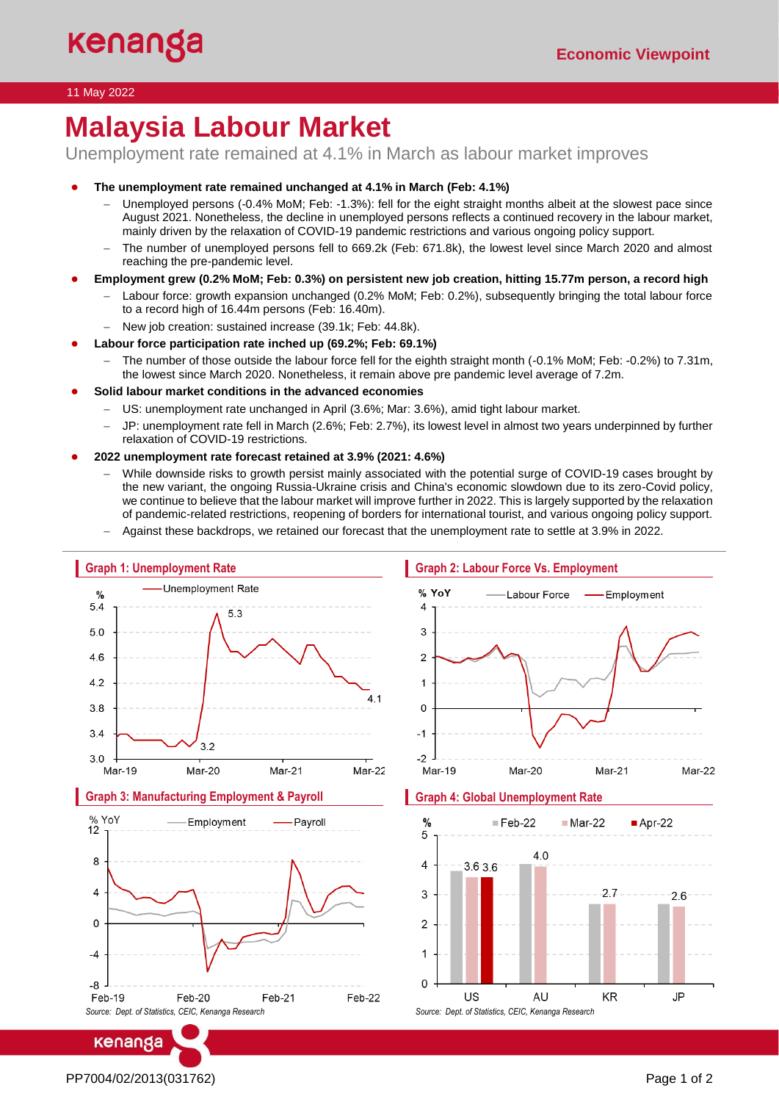## 11 May 2022

# **Malaysia Labour Market**

Unemployment rate remained at 4.1% in March as labour market improves

- **The unemployment rate remained unchanged at 4.1% in March (Feb: 4.1%)**
	- − Unemployed persons (-0.4% MoM; Feb: -1.3%): fell for the eight straight months albeit at the slowest pace since August 2021. Nonetheless, the decline in unemployed persons reflects a continued recovery in the labour market, mainly driven by the relaxation of COVID-19 pandemic restrictions and various ongoing policy support.
	- The number of unemployed persons fell to 669.2k (Feb: 671.8k), the lowest level since March 2020 and almost reaching the pre-pandemic level.
- **Employment grew (0.2% MoM; Feb: 0.3%) on persistent new job creation, hitting 15.77m person, a record high**
	- Labour force: growth expansion unchanged (0.2% MoM; Feb: 0.2%), subsequently bringing the total labour force to a record high of 16.44m persons (Feb: 16.40m).
	- − New job creation: sustained increase (39.1k; Feb: 44.8k).
- **Labour force participation rate inched up (69.2%; Feb: 69.1%)**
	- − The number of those outside the labour force fell for the eighth straight month (-0.1% MoM; Feb: -0.2%) to 7.31m, the lowest since March 2020. Nonetheless, it remain above pre pandemic level average of 7.2m.
- Solid labour market conditions in the advanced economies
	- US: unemployment rate unchanged in April (3.6%; Mar: 3.6%), amid tight labour market.
	- JP: unemployment rate fell in March (2.6%; Feb: 2.7%), its lowest level in almost two years underpinned by further relaxation of COVID-19 restrictions.
- **2022 unemployment rate forecast retained at 3.9% (2021: 4.6%)**
	- While downside risks to growth persist mainly associated with the potential surge of COVID-19 cases brought by the new variant, the ongoing Russia-Ukraine crisis and China's economic slowdown due to its zero-Covid policy, we continue to believe that the labour market will improve further in 2022. This is largely supported by the relaxation of pandemic-related restrictions, reopening of borders for international tourist, and various ongoing policy support.
	- − Against these backdrops, we retained our forecast that the unemployment rate to settle at 3.9% in 2022.



kenanga